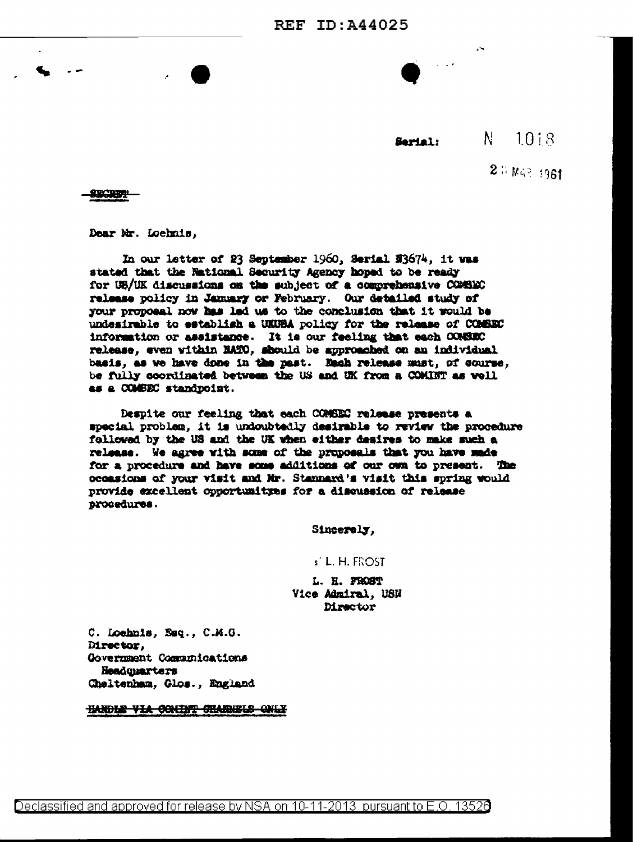N. 1018 Sarial:

 $2.3 W < 1961$ 

SECRET

Dear Mr. Loehnis,

In our latter of 23 September 1960, Serial N3674, it was stated that the National Security Agency hoped to be ready for UB/UK discussions on the subject of a comprehensive COMBEC release policy in January or February. Our detailed study of your proposal now has led us to the conclusion that it would be undesirable to establish a UKUBA policy for the release of COMBEC information or assistance. It is our feeling that each CONSEC release, even within NATO, should be approached on an individual basis, as we have done in the past. Each release must, of course, be fully coordinated between the US and UK from a COMINT as well as a COMBEC standpoint.

Despite our feeling that each COMSEC release presents a special problem, it is undoubtedly desirable to review the procedure followed by the US and the UK when either desires to make such a release. We agree with some of the proposals that you have made for a procedure and have some additions of our own to present. The occasions of your visit and Mr. Stannard's visit this spring would provide excellent opportunityes for a discussion of release procedures.

Sincerely,

## s' L. H. FROST

L. H. FROST Vice Admiral, USN Director

C. Loehnis, Esq., C.M.G. Director, Government Communications Headquarters Cheltenham, Glos., England

HARDLE VIA COMINT CHANNELS ONLY